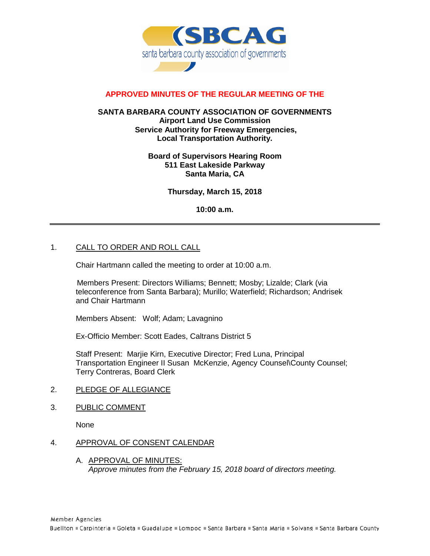

# **APPROVED MINUTES OF THE REGULAR MEETING OF THE**

# **SANTA BARBARA COUNTY ASSOCIATION OF GOVERNMENTS Airport Land Use Commission Service Authority for Freeway Emergencies, Local Transportation Authority.**

### **Board of Supervisors Hearing Room 511 East Lakeside Parkway Santa Maria, CA**

**Thursday, March 15, 2018**

**10:00 a.m.**

# 1. CALL TO ORDER AND ROLL CALL

Chair Hartmann called the meeting to order at 10:00 a.m.

Members Present: Directors Williams; Bennett; Mosby; Lizalde; Clark (via teleconference from Santa Barbara); Murillo; Waterfield; Richardson; Andrisek and Chair Hartmann

Members Absent: Wolf; Adam; Lavagnino

Ex-Officio Member: Scott Eades, Caltrans District 5

Staff Present: Marjie Kirn, Executive Director; Fred Luna, Principal Transportation Engineer II Susan McKenzie, Agency Counsel\County Counsel; Terry Contreras, Board Clerk

- 2. PLEDGE OF ALLEGIANCE
- 3. PUBLIC COMMENT

None

#### 4. APPROVAL OF CONSENT CALENDAR

A. APPROVAL OF MINUTES: *Approve minutes from the February 15, 2018 board of directors meeting.*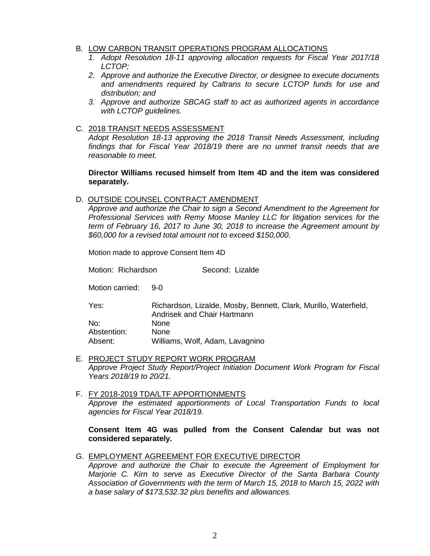# B. LOW CARBON TRANSIT OPERATIONS PROGRAM ALLOCATIONS

- *1. Adopt Resolution 18-11 approving allocation requests for Fiscal Year 2017/18 LCTOP;*
- *2. Approve and authorize the Executive Director, or designee to execute documents and amendments required by Caltrans to secure LCTOP funds for use and distribution; and*
- *3. Approve and authorize SBCAG staff to act as authorized agents in accordance with LCTOP guidelines.*

#### C. 2018 TRANSIT NEEDS ASSESSMENT

*Adopt Resolution 18-13 approving the 2018 Transit Needs Assessment, including findings that for Fiscal Year 2018/19 there are no unmet transit needs that are reasonable to meet.*

**Director Williams recused himself from Item 4D and the item was considered separately.**

# D. OUTSIDE COUNSEL CONTRACT AMENDMENT

*Approve and authorize the Chair to sign a Second Amendment to the Agreement for Professional Services with Remy Moose Manley LLC for litigation services for the term of February 16, 2017 to June 30, 2018 to increase the Agreement amount by \$60,000 for a revised total amount not to exceed \$150,000.*

Motion made to approve Consent Item 4D

Motion: Richardson **Second: Lizalde** 

Motion carried: 9-0

Yes: Richardson, Lizalde, Mosby, Bennett, Clark, Murillo, Waterfield, Andrisek and Chair Hartmann No: None Abstention: None Absent: Williams, Wolf, Adam, Lavagnino

- E. PROJECT STUDY REPORT WORK PROGRAM *Approve Project Study Report/Project Initiation Document Work Program for Fiscal Years 2018/19 to 20/21.*
- F. FY 2018-2019 TDA/LTF APPORTIONMENTS *Approve the estimated apportionments of Local Transportation Funds to local agencies for Fiscal Year 2018/19.*

#### **Consent Item 4G was pulled from the Consent Calendar but was not considered separately.**

G. EMPLOYMENT AGREEMENT FOR EXECUTIVE DIRECTOR

*Approve and authorize the Chair to execute the Agreement of Employment for Marjorie C. Kirn to serve as Executive Director of the Santa Barbara County Association of Governments with the term of March 15, 2018 to March 15, 2022 with a base salary of \$173,532.32 plus benefits and allowances.*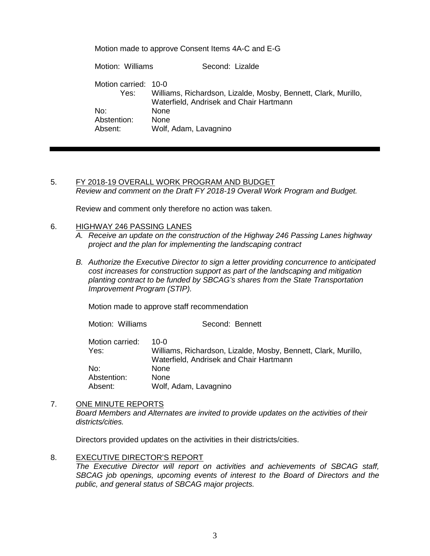Motion made to approve Consent Items 4A-C and E-G

Motion: Williams Second: Lizalde Motion carried: 10-0 Yes: Williams, Richardson, Lizalde, Mosby, Bennett, Clark, Murillo, Waterfield, Andrisek and Chair Hartmann No: None<br>Abstention: None Abstention: Absent: Wolf, Adam, Lavagnino

# 5. FY 2018-19 OVERALL WORK PROGRAM AND BUDGET *Review and comment on the Draft FY 2018-19 Overall Work Program and Budget.*

Review and comment only therefore no action was taken.

# 6. HIGHWAY 246 PASSING LANES

- *A. Receive an update on the construction of the Highway 246 Passing Lanes highway project and the plan for implementing the landscaping contract*
- *B. Authorize the Executive Director to sign a letter providing concurrence to anticipated cost increases for construction support as part of the landscaping and mitigation planting contract to be funded by SBCAG's shares from the State Transportation Improvement Program (STIP).*

Motion made to approve staff recommendation

Motion: Williams **Second: Bennett** Motion carried: 10-0 Yes: Williams, Richardson, Lizalde, Mosby, Bennett, Clark, Murillo, Waterfield, Andrisek and Chair Hartmann No: None Abstention: None Absent: Wolf, Adam, Lavagnino

#### 7. ONE MINUTE REPORTS

*Board Members and Alternates are invited to provide updates on the activities of their districts/cities.*

Directors provided updates on the activities in their districts/cities.

8. EXECUTIVE DIRECTOR'S REPORT

*The Executive Director will report on activities and achievements of SBCAG staff, SBCAG job openings, upcoming events of interest to the Board of Directors and the public, and general status of SBCAG major projects.*